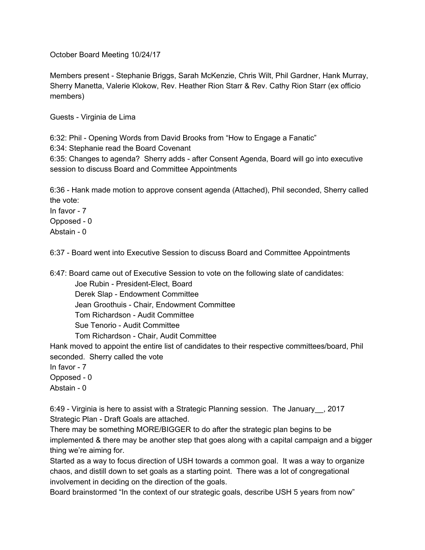October Board Meeting 10/24/17

Members present - Stephanie Briggs, Sarah McKenzie, Chris Wilt, Phil Gardner, Hank Murray, Sherry Manetta, Valerie Klokow, Rev. Heather Rion Starr & Rev. Cathy Rion Starr (ex officio members)

Guests - Virginia de Lima

6:32: Phil - Opening Words from David Brooks from "How to Engage a Fanatic"

6:34: Stephanie read the Board Covenant

6:35: Changes to agenda? Sherry adds - after Consent Agenda, Board will go into executive session to discuss Board and Committee Appointments

6:36 - Hank made motion to approve consent agenda (Attached), Phil seconded, Sherry called the vote:

In favor - 7

Opposed - 0

Abstain - 0

6:37 - Board went into Executive Session to discuss Board and Committee Appointments

6:47: Board came out of Executive Session to vote on the following slate of candidates:

Joe Rubin - President-Elect, Board

Derek Slap - Endowment Committee

Jean Groothuis - Chair, Endowment Committee

Tom Richardson - Audit Committee

Sue Tenorio - Audit Committee

Tom Richardson - Chair, Audit Committee

Hank moved to appoint the entire list of candidates to their respective committees/board, Phil seconded. Sherry called the vote

In favor - 7

Opposed - 0

Abstain - 0

6:49 - Virginia is here to assist with a Strategic Planning session. The January\_\_, 2017 Strategic Plan - Draft Goals are attached.

There may be something MORE/BIGGER to do after the strategic plan begins to be implemented & there may be another step that goes along with a capital campaign and a bigger thing we're aiming for.

Started as a way to focus direction of USH towards a common goal. It was a way to organize chaos, and distill down to set goals as a starting point. There was a lot of congregational involvement in deciding on the direction of the goals.

Board brainstormed "In the context of our strategic goals, describe USH 5 years from now"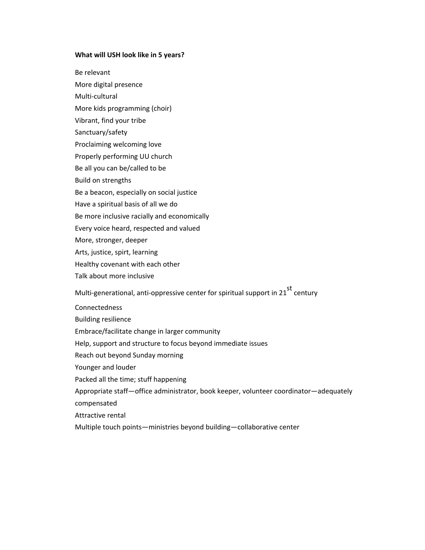#### **What will USH look like in 5 years?**

Be relevant

More digital presence

Multi-cultural

More kids programming (choir)

- Vibrant, find your tribe
- Sanctuary/safety

Proclaiming welcoming love

Properly performing UU church

Be all you can be/called to be

Build on strengths

Be a beacon, especially on social justice

Have a spiritual basis of all we do

Be more inclusive racially and economically

Every voice heard, respected and valued

More, stronger, deeper

Arts, justice, spirt, learning

Healthy covenant with each other

Talk about more inclusive

Multi-generational, anti-oppressive center for spiritual support in 21 $^{\text{st}}$  century

Connectedness

Building resilience

Embrace/facilitate change in larger community

Help, support and structure to focus beyond immediate issues

Reach out beyond Sunday morning

Younger and louder

Packed all the time; stuff happening

Appropriate staff—office administrator, book keeper, volunteer coordinator—adequately compensated

Attractive rental

Multiple touch points—ministries beyond building—collaborative center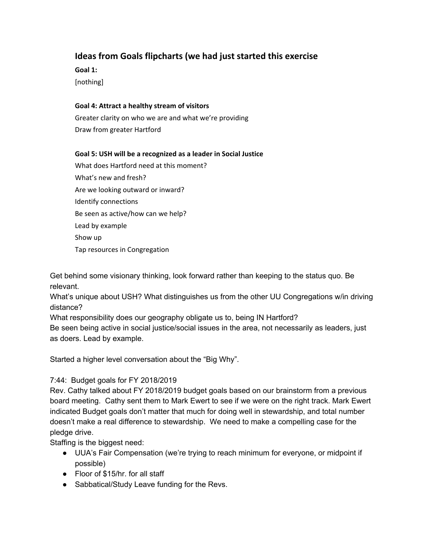# **Ideas from Goals flipcharts (we had just started this exercise**

**Goal 1:**

[nothing]

#### **Goal 4: Attract a healthy stream of visitors**

Greater clarity on who we are and what we're providing Draw from greater Hartford

### **Goal 5: USH will be a recognized as a leader in Social Justice**

What does Hartford need at this moment? What's new and fresh? Are we looking outward or inward? Identify connections Be seen as active/how can we help? Lead by example Show up Tap resources in Congregation

Get behind some visionary thinking, look forward rather than keeping to the status quo. Be relevant.

What's unique about USH? What distinguishes us from the other UU Congregations w/in driving distance?

What responsibility does our geography obligate us to, being IN Hartford?

Be seen being active in social justice/social issues in the area, not necessarily as leaders, just as doers. Lead by example.

Started a higher level conversation about the "Big Why".

# 7:44: Budget goals for FY 2018/2019

Rev. Cathy talked about FY 2018/2019 budget goals based on our brainstorm from a previous board meeting. Cathy sent them to Mark Ewert to see if we were on the right track. Mark Ewert indicated Budget goals don't matter that much for doing well in stewardship, and total number doesn't make a real difference to stewardship. We need to make a compelling case for the pledge drive.

Staffing is the biggest need:

- UUA's Fair Compensation (we're trying to reach minimum for everyone, or midpoint if possible)
- Floor of \$15/hr. for all staff
- Sabbatical/Study Leave funding for the Revs.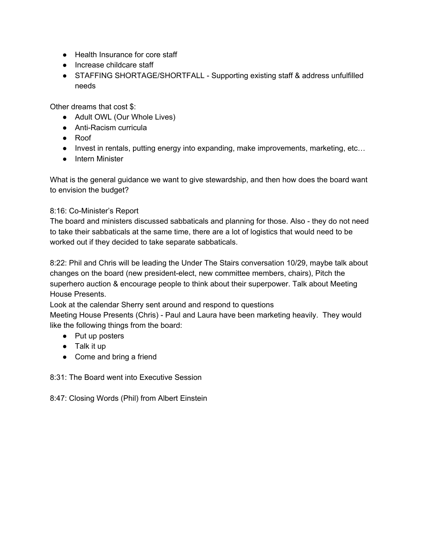- Health Insurance for core staff
- Increase childcare staff
- STAFFING SHORTAGE/SHORTFALL Supporting existing staff & address unfulfilled needs

Other dreams that cost \$:

- Adult OWL (Our Whole Lives)
- Anti-Racism curricula
- Roof
- Invest in rentals, putting energy into expanding, make improvements, marketing, etc…
- Intern Minister

What is the general guidance we want to give stewardship, and then how does the board want to envision the budget?

### 8:16: Co-Minister's Report

The board and ministers discussed sabbaticals and planning for those. Also - they do not need to take their sabbaticals at the same time, there are a lot of logistics that would need to be worked out if they decided to take separate sabbaticals.

8:22: Phil and Chris will be leading the Under The Stairs conversation 10/29, maybe talk about changes on the board (new president-elect, new committee members, chairs), Pitch the superhero auction & encourage people to think about their superpower. Talk about Meeting House Presents.

Look at the calendar Sherry sent around and respond to questions

Meeting House Presents (Chris) - Paul and Laura have been marketing heavily. They would like the following things from the board:

- Put up posters
- Talk it up
- Come and bring a friend

8:31: The Board went into Executive Session

8:47: Closing Words (Phil) from Albert Einstein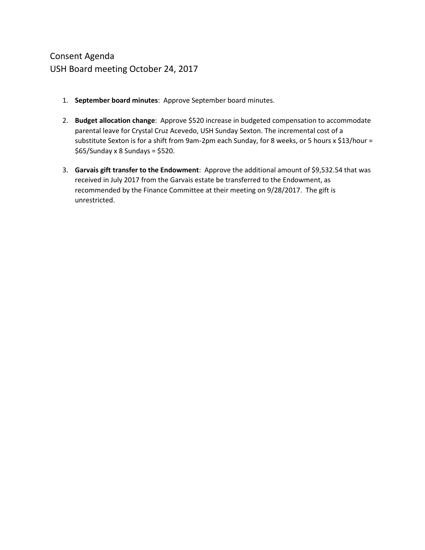- 1. **September board minutes**: Approve September board minutes.
- 2. **Budget allocation change**: Approve \$520 increase in budgeted compensation to accommodate parental leave for Crystal Cruz Acevedo, USH Sunday Sexton. The incremental cost of a substitute Sexton is for a shift from 9am-2pm each Sunday, for 8 weeks, or 5 hours x \$13/hour =  $$65/$ Sunday x 8 Sundays = \$520.
- 3. **Garvais gift transfer to the Endowment**: Approve the additional amount of \$9,532.54 that was received in July 2017 from the Garvais estate be transferred to the Endowment, as recommended by the Finance Committee at their meeting on 9/28/2017. The gift is unrestricted.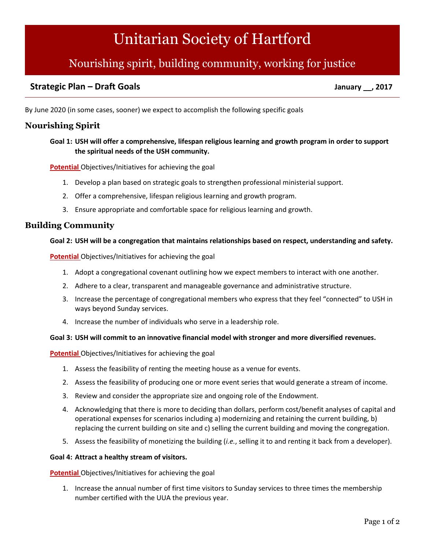# [Unitarian](http://www.ushartford.com/) Society of Hartford

# Nourishing spirit, building community, working for justice

# **Strategic Plan – Draft Goals January \_\_, 2017**

By June 2020 (in some cases, sooner) we expect to accomplish the following specific goals

## **Nourishing Spirit**

#### **Goal 1: USH will offer a comprehensive, lifespan religious learning and growth program in order to support the spiritual needs of the USH community.**

**Potential** Objectives/Initiatives for achieving the goal

- 1. Develop a plan based on strategic goals to strengthen professional ministerial support.
- 2. Offer a comprehensive, lifespan religious learning and growth program.
- 3. Ensure appropriate and comfortable space for religious learning and growth.

#### **Building Community**

#### **Goal 2: USH will be a congregation that maintains relationships based on respect, understanding and safety.**

**Potential** Objectives/Initiatives for achieving the goal

- 1. Adopt a congregational covenant outlining how we expect members to interact with one another.
- 2. Adhere to a clear, transparent and manageable governance and administrative structure.
- 3. Increase the percentage of congregational members who express that they feel "connected" to USH in ways beyond Sunday services.
- 4. Increase the number of individuals who serve in a leadership role.

#### **Goal 3: USH will commit to an innovative financial model with stronger and more diversified revenues.**

**Potential** Objectives/Initiatives for achieving the goal

- 1. Assess the feasibility of renting the meeting house as a venue for events.
- 2. Assess the feasibility of producing one or more event series that would generate a stream of income.
- 3. Review and consider the appropriate size and ongoing role of the Endowment.
- 4. Acknowledging that there is more to deciding than dollars, perform cost/benefit analyses of capital and operational expenses for scenarios including a) modernizing and retaining the current building, b) replacing the current building on site and c) selling the current building and moving the congregation.
- 5. Assess the feasibility of monetizing the building (*i.e.*, selling it to and renting it back from a developer).

#### **Goal 4: Attract a healthy stream of visitors.**

**Potential** Objectives/Initiatives for achieving the goal

1. Increase the annual number of first time visitors to Sunday services to three times the membership number certified with the UUA the previous year.